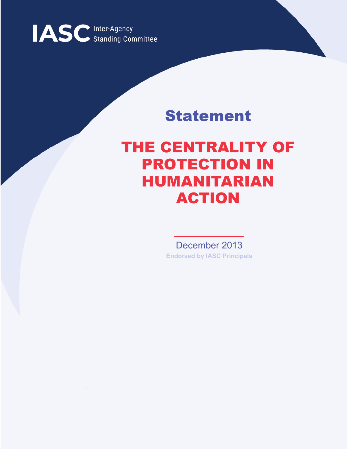

## Statement

## THE CENTRALITY OF PROTECTION IN HUMANITARIAN ACTION

December 2013 **Endorsed by IASC Principals**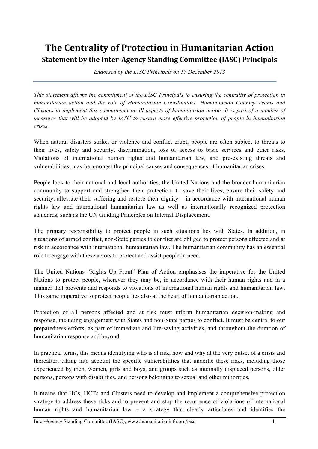## **The Centrality of Protection in Humanitarian Action Statement by the Inter-Agency Standing Committee (IASC) Principals**

*Endorsed by the IASC Principals on 17 December 2013*

*This statement affirms the commitment of the IASC Principals to ensuring the centrality of protection in humanitarian action and the role of Humanitarian Coordinators, Humanitarian Country Teams and Clusters to implement this commitment in all aspects of humanitarian action. It is part of a number of measures that will be adopted by IASC to ensure more effective protection of people in humanitarian crises.*

When natural disasters strike, or violence and conflict erupt, people are often subject to threats to their lives, safety and security, discrimination, loss of access to basic services and other risks. Violations of international human rights and humanitarian law, and pre-existing threats and vulnerabilities, may be amongst the principal causes and consequences of humanitarian crises.

People look to their national and local authorities, the United Nations and the broader humanitarian community to support and strengthen their protection: to save their lives, ensure their safety and security, alleviate their suffering and restore their dignity – in accordance with international human rights law and international humanitarian law as well as internationally recognized protection standards, such as the UN Guiding Principles on Internal Displacement.

The primary responsibility to protect people in such situations lies with States. In addition, in situations of armed conflict, non-State parties to conflict are obliged to protect persons affected and at risk in accordance with international humanitarian law. The humanitarian community has an essential role to engage with these actors to protect and assist people in need.

The United Nations "Rights Up Front" Plan of Action emphasises the imperative for the United Nations to protect people, wherever they may be, in accordance with their human rights and in a manner that prevents and responds to violations of international human rights and humanitarian law. This same imperative to protect people lies also at the heart of humanitarian action.

Protection of all persons affected and at risk must inform humanitarian decision-making and response, including engagement with States and non-State parties to conflict. It must be central to our preparedness efforts, as part of immediate and life-saving activities, and throughout the duration of humanitarian response and beyond.

In practical terms, this means identifying who is at risk, how and why at the very outset of a crisis and thereafter, taking into account the specific vulnerabilities that underlie these risks, including those experienced by men, women, girls and boys, and groups such as internally displaced persons, older persons, persons with disabilities, and persons belonging to sexual and other minorities.

It means that HCs, HCTs and Clusters need to develop and implement a comprehensive protection strategy to address these risks and to prevent and stop the recurrence of violations of international human rights and humanitarian law – a strategy that clearly articulates and identifies the